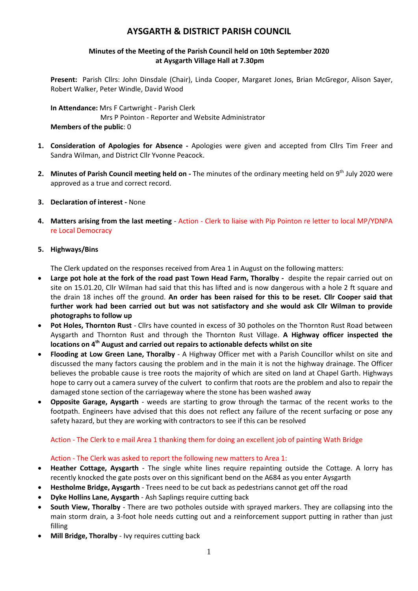# **AYSGARTH & DISTRICT PARISH COUNCIL**

# **Minutes of the Meeting of the Parish Council held on 10th September 2020 at Aysgarth Village Hall at 7.30pm**

**Present:** Parish Cllrs: John Dinsdale (Chair), Linda Cooper, Margaret Jones, Brian McGregor, Alison Sayer, Robert Walker, Peter Windle, David Wood

**In Attendance:** Mrs F Cartwright - Parish Clerk Mrs P Pointon - Reporter and Website Administrator **Members of the public**: 0

- **1. Consideration of Apologies for Absence -** Apologies were given and accepted from Cllrs Tim Freer and Sandra Wilman, and District Cllr Yvonne Peacock.
- 2. Minutes of Parish Council meeting held on The minutes of the ordinary meeting held on 9<sup>th</sup> July 2020 were approved as a true and correct record.
- **3. Declaration of interest -** None
- **4. Matters arising from the last meeting** Action Clerk to liaise with Pip Pointon re letter to local MP/YDNPA re Local Democracy

## **5. Highways/Bins**

The Clerk updated on the responses received from Area 1 in August on the following matters:

- **Large pot hole at the fork of the road past Town Head Farm, Thoralby** despite the repair carried out on site on 15.01.20, Cllr Wilman had said that this has lifted and is now dangerous with a hole 2 ft square and the drain 18 inches off the ground. **An order has been raised for this to be reset. Cllr Cooper said that further work had been carried out but was not satisfactory and she would ask Cllr Wilman to provide photographs to follow up**
- **Pot Holes, Thornton Rust** Cllrs have counted in excess of 30 potholes on the Thornton Rust Road between Aysgarth and Thornton Rust and through the Thornton Rust Village. **A Highway officer inspected the locations on 4th August and carried out repairs to actionable defects whilst on site**
- **Flooding at Low Green Lane, Thoralby**  A Highway Officer met with a Parish Councillor whilst on site and discussed the many factors causing the problem and in the main it is not the highway drainage. The Officer believes the probable cause is tree roots the majority of which are sited on land at Chapel Garth. Highways hope to carry out a camera survey of the culvert to confirm that roots are the problem and also to repair the damaged stone section of the carriageway where the stone has been washed away
- **Opposite Garage, Aysgarth** weeds are starting to grow through the tarmac of the recent works to the footpath. Engineers have advised that this does not reflect any failure of the recent surfacing or pose any safety hazard, but they are working with contractors to see if this can be resolved

# Action - The Clerk to e mail Area 1 thanking them for doing an excellent job of painting Wath Bridge

#### Action - The Clerk was asked to report the following new matters to Area 1:

- **Heather Cottage, Aysgarth** The single white lines require repainting outside the Cottage. A lorry has recently knocked the gate posts over on this significant bend on the A684 as you enter Aysgarth
- **Hestholme Bridge, Aysgarth**  Trees need to be cut back as pedestrians cannot get off the road
- **Dyke Hollins Lane, Aysgarth**  Ash Saplings require cutting back
- **South View, Thoralby**  There are two potholes outside with sprayed markers. They are collapsing into the main storm drain, a 3-foot hole needs cutting out and a reinforcement support putting in rather than just filling
- **Mill Bridge, Thoralby**  Ivy requires cutting back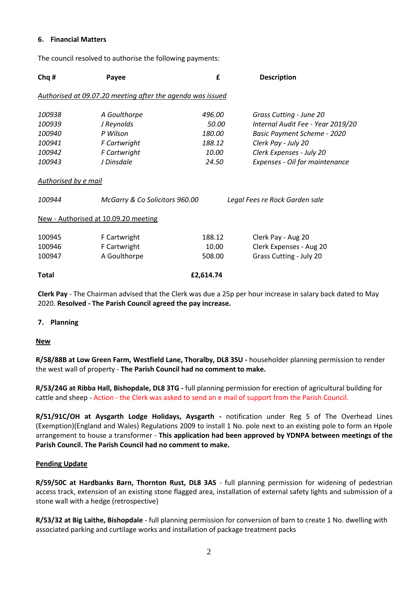#### **6. Financial Matters**

| Chq #                | Payee                                                      | £         | <b>Description</b>                |  |
|----------------------|------------------------------------------------------------|-----------|-----------------------------------|--|
|                      | Authorised at 09.07.20 meeting after the agenda was issued |           |                                   |  |
| 100938               | A Goulthorpe                                               | 496.00    | Grass Cutting - June 20           |  |
| 100939               | J Reynolds                                                 | 50.00     | Internal Audit Fee - Year 2019/20 |  |
| 100940               | P Wilson                                                   | 180.00    | Basic Payment Scheme - 2020       |  |
| 100941               | F Cartwright                                               | 188.12    | Clerk Pay - July 20               |  |
| 100942               | F Cartwright                                               | 10.00     | Clerk Expenses - July 20          |  |
| 100943               | J Dinsdale                                                 | 24.50     | Expenses - Oil for maintenance    |  |
| Authorised by e mail |                                                            |           |                                   |  |
| 100944               | McGarry & Co Solicitors 960.00                             |           | Legal Fees re Rock Garden sale    |  |
|                      | New - Authorised at 10.09.20 meeting                       |           |                                   |  |
| 100945               | F Cartwright                                               | 188.12    | Clerk Pay - Aug 20                |  |
| 100946               | F Cartwright                                               | 10.00     | Clerk Expenses - Aug 20           |  |
| 100947               | A Goulthorpe                                               | 508.00    | Grass Cutting - July 20           |  |
| Total                |                                                            | £2,614.74 |                                   |  |
|                      |                                                            |           |                                   |  |

The council resolved to authorise the following payments:

**Clerk Pay** - The Chairman advised that the Clerk was due a 25p per hour increase in salary back dated to May 2020. **Resolved - The Parish Council agreed the pay increase.** 

#### **7. Planning**

#### **New**

**R/58/88B at Low Green Farm, Westfield Lane, Thoralby, DL8 3SU -** householder planning permission to render the west wall of property - **The Parish Council had no comment to make.**

**R/53/24G at Ribba Hall, Bishopdale, DL8 3TG -** full planning permission for erection of agricultural building for cattle and sheep - Action - the Clerk was asked to send an e mail of support from the Parish Council.

**R/51/91C/OH at Aysgarth Lodge Holidays, Aysgarth -** notification under Reg 5 of The Overhead Lines (Exemption)(England and Wales) Regulations 2009 to install 1 No. pole next to an existing pole to form an Hpole arrangement to house a transformer - **This application had been approved by YDNPA between meetings of the Parish Council. The Parish Council had no comment to make.**

#### **Pending Update**

**R/59/50C at Hardbanks Barn, Thornton Rust, DL8 3AS** - full planning permission for widening of pedestrian access track, extension of an existing stone flagged area, installation of external safety lights and submission of a stone wall with a hedge (retrospective)

**R/53/32 at Big Laithe, Bishopdale** - full planning permission for conversion of barn to create 1 No. dwelling with associated parking and curtilage works and installation of package treatment packs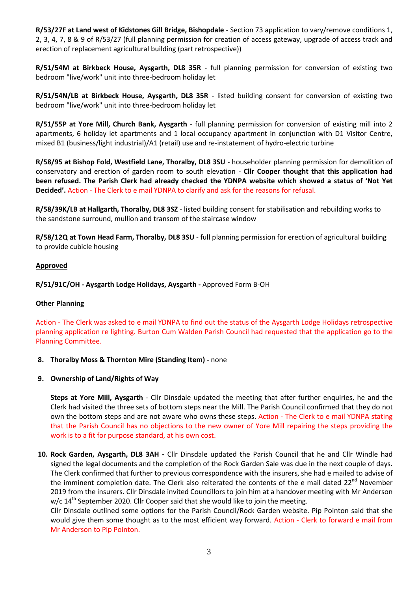**R/53/27F at Land west of Kidstones Gill Bridge, Bishopdale** - Section 73 application to vary/remove conditions 1, 2, 3, 4, 7, 8 & 9 of R/53/27 (full planning permission for creation of access gateway, upgrade of access track and erection of replacement agricultural building (part retrospective))

**R/51/54M at Birkbeck House, Aysgarth, DL8 35R** - full planning permission for conversion of existing two bedroom "live/work" unit into three-bedroom holiday let

**R/51/54N/LB at Birkbeck House, Aysgarth, DL8 35R** - listed building consent for conversion of existing two bedroom "live/work" unit into three-bedroom holiday let

**R/51/55P at Yore Mill, Church Bank, Aysgarth** - full planning permission for conversion of existing mill into 2 apartments, 6 holiday let apartments and 1 local occupancy apartment in conjunction with D1 Visitor Centre, mixed B1 (business/light industrial)/A1 (retail) use and re-instatement of hydro-electric turbine

**R/58/95 at Bishop Fold, Westfield Lane, Thoralby, DL8 3SU** - householder planning permission for demolition of conservatory and erection of garden room to south elevation - **Cllr Cooper thought that this application had been refused. The Parish Clerk had already checked the YDNPA website which showed a status of 'Not Yet Decided'.** Action - The Clerk to e mail YDNPA to clarify and ask for the reasons for refusal.

**R/58/39K/LB at Hallgarth, Thoralby, DL8 3SZ** - listed building consent for stabilisation and rebuilding works to the sandstone surround, mullion and transom of the staircase window

**R/58/12Q at Town Head Farm, Thoralby, DL8 3SU** - full planning permission for erection of agricultural building to provide cubicle housing

#### **Approved**

**R/51/91C/OH - Aysgarth Lodge Holidays, Aysgarth -** Approved Form B-OH

#### **Other Planning**

Action - The Clerk was asked to e mail YDNPA to find out the status of the Aysgarth Lodge Holidays retrospective planning application re lighting. Burton Cum Walden Parish Council had requested that the application go to the Planning Committee.

**8. Thoralby Moss & Thornton Mire (Standing Item) -** none

#### **9. Ownership of Land/Rights of Way**

**Steps at Yore Mill, Aysgarth** - Cllr Dinsdale updated the meeting that after further enquiries, he and the Clerk had visited the three sets of bottom steps near the Mill. The Parish Council confirmed that they do not own the bottom steps and are not aware who owns these steps. Action - The Clerk to e mail YDNPA stating that the Parish Council has no objections to the new owner of Yore Mill repairing the steps providing the work is to a fit for purpose standard, at his own cost.

**10. Rock Garden, Aysgarth, DL8 3AH -** Cllr Dinsdale updated the Parish Council that he and Cllr Windle had signed the legal documents and the completion of the Rock Garden Sale was due in the next couple of days. The Clerk confirmed that further to previous correspondence with the insurers, she had e mailed to advise of the imminent completion date. The Clerk also reiterated the contents of the e mail dated  $22^{nd}$  November 2019 from the insurers. Cllr Dinsdale invited Councillors to join him at a handover meeting with Mr Anderson  $w/c$  14<sup>th</sup> September 2020. Cllr Cooper said that she would like to join the meeting.

Cllr Dinsdale outlined some options for the Parish Council/Rock Garden website. Pip Pointon said that she would give them some thought as to the most efficient way forward. Action - Clerk to forward e mail from Mr Anderson to Pip Pointon.